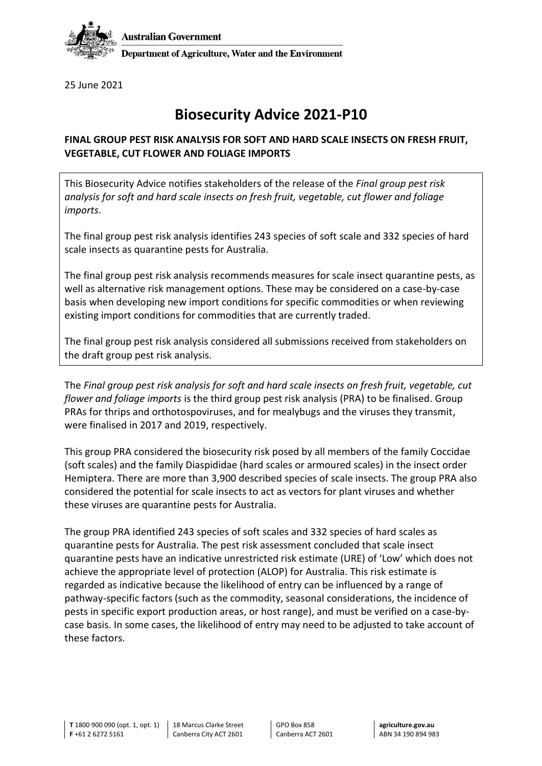

25 June 2021

## **Biosecurity Advice 2021-P10**

## **FINAL GROUP PEST RISK ANALYSIS FOR SOFT AND HARD SCALE INSECTS ON FRESH FRUIT, VEGETABLE, CUT FLOWER AND FOLIAGE IMPORTS**

This Biosecurity Advice notifies stakeholders of the release of the *Final group pest risk analysis for soft and hard scale insects on fresh fruit, vegetable, cut flower and foliage imports*.

The final group pest risk analysis identifies 243 species of soft scale and 332 species of hard scale insects as quarantine pests for Australia.

The final group pest risk analysis recommends measures for scale insect quarantine pests, as well as alternative risk management options. These may be considered on a case-by-case basis when developing new import conditions for specific commodities or when reviewing existing import conditions for commodities that are currently traded.

The final group pest risk analysis considered all submissions received from stakeholders on the draft group pest risk analysis.

The *Final group pest risk analysis for soft and hard scale insects on fresh fruit, vegetable, cut flower and foliage imports* is the third group pest risk analysis (PRA) to be finalised. Group PRAs for thrips and orthotospoviruses, and for mealybugs and the viruses they transmit, were finalised in 2017 and 2019, respectively.

This group PRA considered the biosecurity risk posed by all members of the family Coccidae (soft scales) and the family Diaspididae (hard scales or armoured scales) in the insect order Hemiptera. There are more than 3,900 described species of scale insects. The group PRA also considered the potential for scale insects to act as vectors for plant viruses and whether these viruses are quarantine pests for Australia.

The group PRA identified 243 species of soft scales and 332 species of hard scales as quarantine pests for Australia. The pest risk assessment concluded that scale insect quarantine pests have an indicative unrestricted risk estimate (URE) of 'Low' which does not achieve the appropriate level of protection (ALOP) for Australia. This risk estimate is regarded as indicative because the likelihood of entry can be influenced by a range of pathway-specific factors (such as the commodity, seasonal considerations, the incidence of pests in specific export production areas, or host range), and must be verified on a case-bycase basis. In some cases, the likelihood of entry may need to be adjusted to take account of these factors.